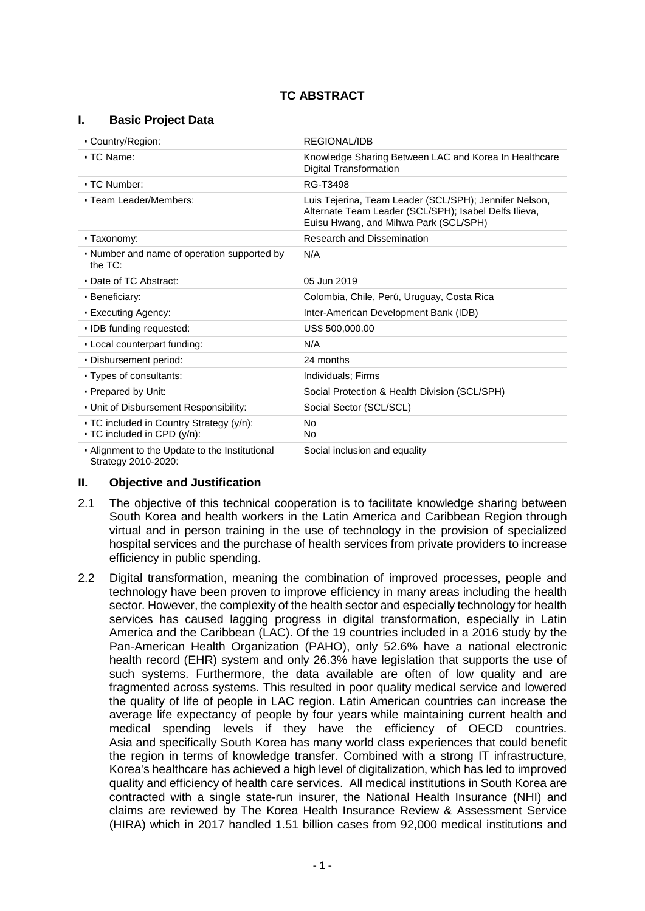# **TC ABSTRACT**

## **I. Basic Project Data**

| • Country/Region:                                                       | REGIONAL/IDB                                                                                                                                             |  |
|-------------------------------------------------------------------------|----------------------------------------------------------------------------------------------------------------------------------------------------------|--|
| • TC Name:                                                              | Knowledge Sharing Between LAC and Korea In Healthcare<br>Digital Transformation                                                                          |  |
| - TC Number:                                                            | RG-T3498                                                                                                                                                 |  |
| • Team Leader/Members:                                                  | Luis Tejerina, Team Leader (SCL/SPH); Jennifer Nelson,<br>Alternate Team Leader (SCL/SPH); Isabel Delfs Ilieva,<br>Euisu Hwang, and Mihwa Park (SCL/SPH) |  |
| • Taxonomy:                                                             | <b>Research and Dissemination</b>                                                                                                                        |  |
| • Number and name of operation supported by<br>the $TC$ :               | N/A                                                                                                                                                      |  |
| • Date of TC Abstract:                                                  | 05 Jun 2019                                                                                                                                              |  |
| • Beneficiary:                                                          | Colombia, Chile, Perú, Uruguay, Costa Rica                                                                                                               |  |
| - Executing Agency:                                                     | Inter-American Development Bank (IDB)                                                                                                                    |  |
| • IDB funding requested:                                                | US\$ 500,000.00                                                                                                                                          |  |
| - Local counterpart funding:                                            | N/A                                                                                                                                                      |  |
| . Disbursement period:                                                  | 24 months                                                                                                                                                |  |
| • Types of consultants:                                                 | Individuals; Firms                                                                                                                                       |  |
| • Prepared by Unit:                                                     | Social Protection & Health Division (SCL/SPH)                                                                                                            |  |
| . Unit of Disbursement Responsibility:                                  | Social Sector (SCL/SCL)                                                                                                                                  |  |
| • TC included in Country Strategy (y/n):<br>- TC included in CPD (y/n): | No<br>No.                                                                                                                                                |  |
| - Alignment to the Update to the Institutional<br>Strategy 2010-2020:   | Social inclusion and equality                                                                                                                            |  |

## **II. Objective and Justification**

- 2.1 The objective of this technical cooperation is to facilitate knowledge sharing between South Korea and health workers in the Latin America and Caribbean Region through virtual and in person training in the use of technology in the provision of specialized hospital services and the purchase of health services from private providers to increase efficiency in public spending.
- 2.2 Digital transformation, meaning the combination of improved processes, people and technology have been proven to improve efficiency in many areas including the health sector. However, the complexity of the health sector and especially technology for health services has caused lagging progress in digital transformation, especially in Latin America and the Caribbean (LAC). Of the 19 countries included in a 2016 study by the Pan-American Health Organization (PAHO), only 52.6% have a national electronic health record (EHR) system and only 26.3% have legislation that supports the use of such systems. Furthermore, the data available are often of low quality and are fragmented across systems. This resulted in poor quality medical service and lowered the quality of life of people in LAC region. Latin American countries can increase the average life expectancy of people by four years while maintaining current health and medical spending levels if they have the efficiency of OECD countries. Asia and specifically South Korea has many world class experiences that could benefit the region in terms of knowledge transfer. Combined with a strong IT infrastructure, Korea's healthcare has achieved a high level of digitalization, which has led to improved quality and efficiency of health care services. All medical institutions in South Korea are contracted with a single state-run insurer, the National Health Insurance (NHI) and claims are reviewed by The Korea Health Insurance Review & Assessment Service (HIRA) which in 2017 handled 1.51 billion cases from 92,000 medical institutions and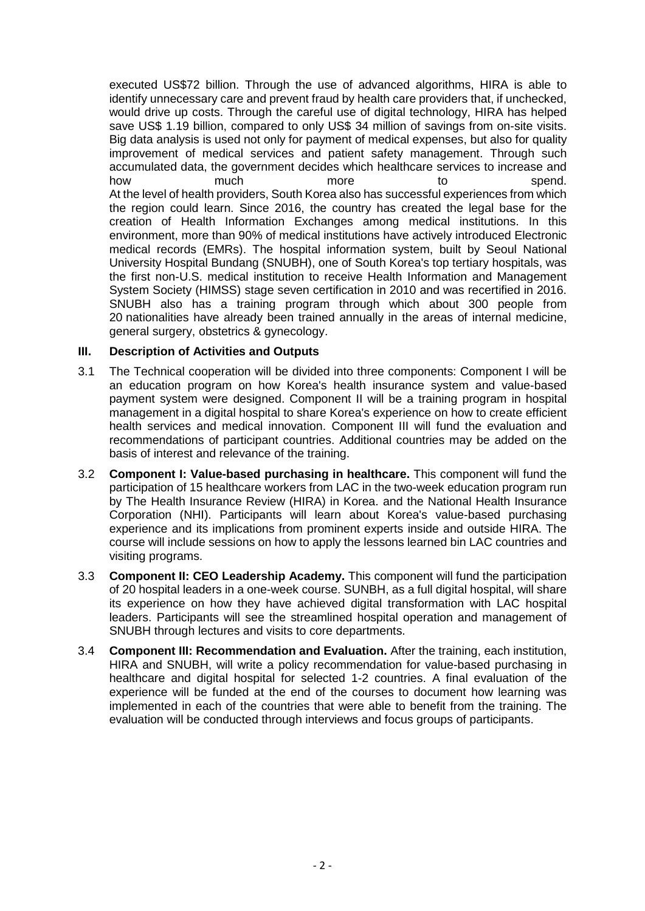executed US\$72 billion. Through the use of advanced algorithms, HIRA is able to identify unnecessary care and prevent fraud by health care providers that, if unchecked, would drive up costs. Through the careful use of digital technology, HIRA has helped save US\$ 1.19 billion, compared to only US\$ 34 million of savings from on-site visits. Big data analysis is used not only for payment of medical expenses, but also for quality improvement of medical services and patient safety management. Through such accumulated data, the government decides which healthcare services to increase and how much more to spend. At the level of health providers, South Korea also has successful experiences from which the region could learn. Since 2016, the country has created the legal base for the creation of Health Information Exchanges among medical institutions. In this environment, more than 90% of medical institutions have actively introduced Electronic medical records (EMRs). The hospital information system, built by Seoul National University Hospital Bundang (SNUBH), one of South Korea's top tertiary hospitals, was the first non-U.S. medical institution to receive Health Information and Management System Society (HIMSS) stage seven certification in 2010 and was recertified in 2016. SNUBH also has a training program through which about 300 people from 20 nationalities have already been trained annually in the areas of internal medicine, general surgery, obstetrics & gynecology.

## **III. Description of Activities and Outputs**

- 3.1 The Technical cooperation will be divided into three components: Component I will be an education program on how Korea's health insurance system and value-based payment system were designed. Component II will be a training program in hospital management in a digital hospital to share Korea's experience on how to create efficient health services and medical innovation. Component III will fund the evaluation and recommendations of participant countries. Additional countries may be added on the basis of interest and relevance of the training.
- 3.2 **Component I: Value-based purchasing in healthcare.** This component will fund the participation of 15 healthcare workers from LAC in the two-week education program run by The Health Insurance Review (HIRA) in Korea. and the National Health Insurance Corporation (NHI). Participants will learn about Korea's value-based purchasing experience and its implications from prominent experts inside and outside HIRA. The course will include sessions on how to apply the lessons learned bin LAC countries and visiting programs.
- 3.3 **Component II: CEO Leadership Academy.** This component will fund the participation of 20 hospital leaders in a one-week course. SUNBH, as a full digital hospital, will share its experience on how they have achieved digital transformation with LAC hospital leaders. Participants will see the streamlined hospital operation and management of SNUBH through lectures and visits to core departments.
- 3.4 **Component III: Recommendation and Evaluation.** After the training, each institution, HIRA and SNUBH, will write a policy recommendation for value-based purchasing in healthcare and digital hospital for selected 1-2 countries. A final evaluation of the experience will be funded at the end of the courses to document how learning was implemented in each of the countries that were able to benefit from the training. The evaluation will be conducted through interviews and focus groups of participants.